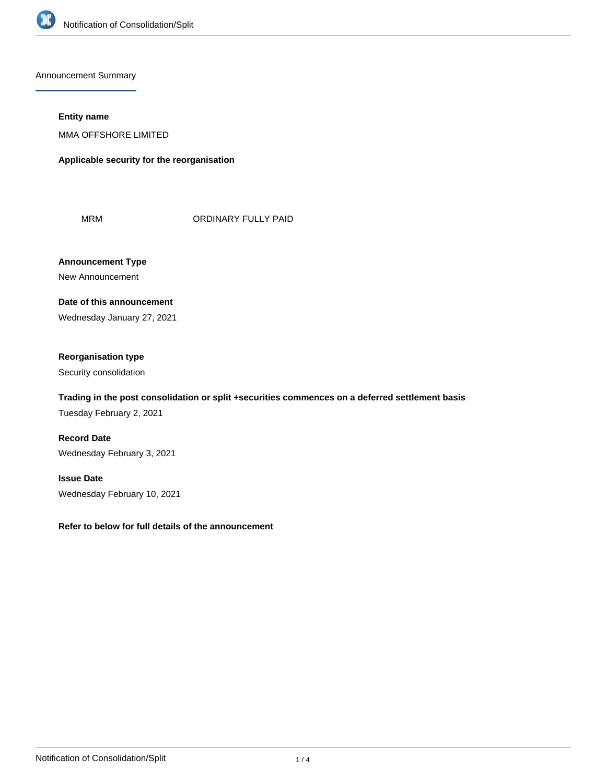

Announcement Summary

#### **Entity name**

MMA OFFSHORE LIMITED

**Applicable security for the reorganisation**

MRM **ORDINARY FULLY PAID** 

**Announcement Type** New Announcement

**Date of this announcement** Wednesday January 27, 2021

# **Reorganisation type**

Security consolidation

# **Trading in the post consolidation or split +securities commences on a deferred settlement basis**

Tuesday February 2, 2021

**Record Date** Wednesday February 3, 2021

**Issue Date** Wednesday February 10, 2021

**Refer to below for full details of the announcement**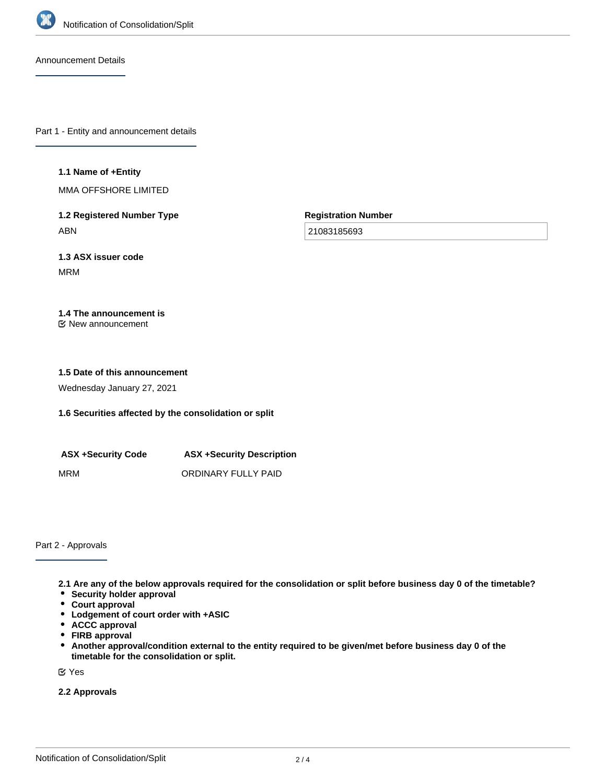

Announcement Details

Part 1 - Entity and announcement details

#### **1.1 Name of +Entity**

MMA OFFSHORE LIMITED

**1.2 Registered Number Type** ABN

**Registration Number**

21083185693

**1.3 ASX issuer code** MRM

# **1.4 The announcement is**

New announcement

#### **1.5 Date of this announcement**

Wednesday January 27, 2021

## **1.6 Securities affected by the consolidation or split**

| <b>ASX +Security Code</b> | <b>ASX +Security Description</b> |
|---------------------------|----------------------------------|
| MRM                       | ORDINARY FULLY PAID              |

Part 2 - Approvals

**2.1 Are any of the below approvals required for the consolidation or split before business day 0 of the timetable?**

- **•** Security holder approval
- **Court approval**
- **Lodgement of court order with +ASIC**
- **ACCC approval**
- **FIRB approval**
- $\bullet$ **Another approval/condition external to the entity required to be given/met before business day 0 of the timetable for the consolidation or split.**

Yes

**2.2 Approvals**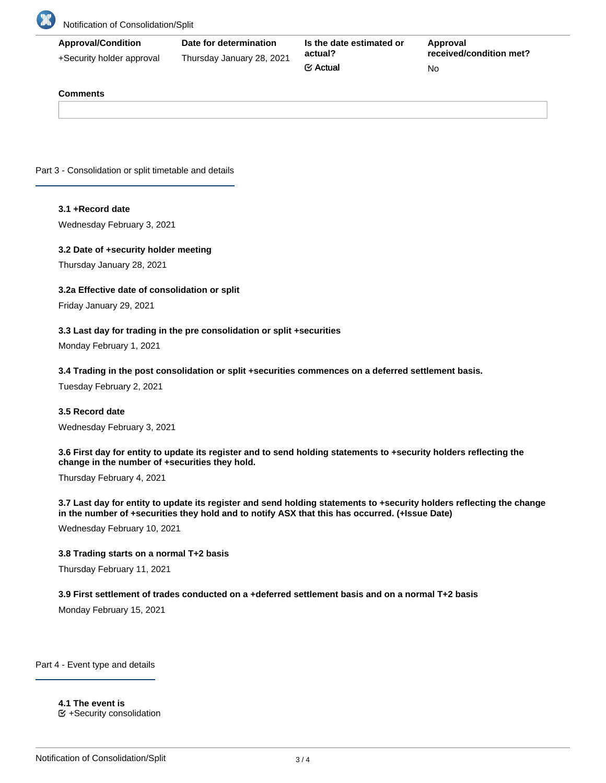

# Notification of Consolidation/Split

| <b>Approval/Condition</b> | Date for determination    | Is the date estimated or<br>actual? | Approval                |  |
|---------------------------|---------------------------|-------------------------------------|-------------------------|--|
| +Security holder approval | Thursday January 28, 2021 |                                     | received/condition met? |  |
|                           |                           | $\mathfrak{C}$ Actual               | No.                     |  |

#### **Comments**

Part 3 - Consolidation or split timetable and details

#### **3.1 +Record date**

Wednesday February 3, 2021

#### **3.2 Date of +security holder meeting**

Thursday January 28, 2021

## **3.2a Effective date of consolidation or split**

Friday January 29, 2021

#### **3.3 Last day for trading in the pre consolidation or split +securities**

Monday February 1, 2021

#### **3.4 Trading in the post consolidation or split +securities commences on a deferred settlement basis.**

Tuesday February 2, 2021

#### **3.5 Record date**

Wednesday February 3, 2021

**3.6 First day for entity to update its register and to send holding statements to +security holders reflecting the change in the number of +securities they hold.**

Thursday February 4, 2021

**3.7 Last day for entity to update its register and send holding statements to +security holders reflecting the change in the number of +securities they hold and to notify ASX that this has occurred. (+Issue Date)**

Wednesday February 10, 2021

## **3.8 Trading starts on a normal T+2 basis**

Thursday February 11, 2021

#### **3.9 First settlement of trades conducted on a +deferred settlement basis and on a normal T+2 basis**

Monday February 15, 2021

Part 4 - Event type and details

**4.1 The event is**  $E$  +Security consolidation